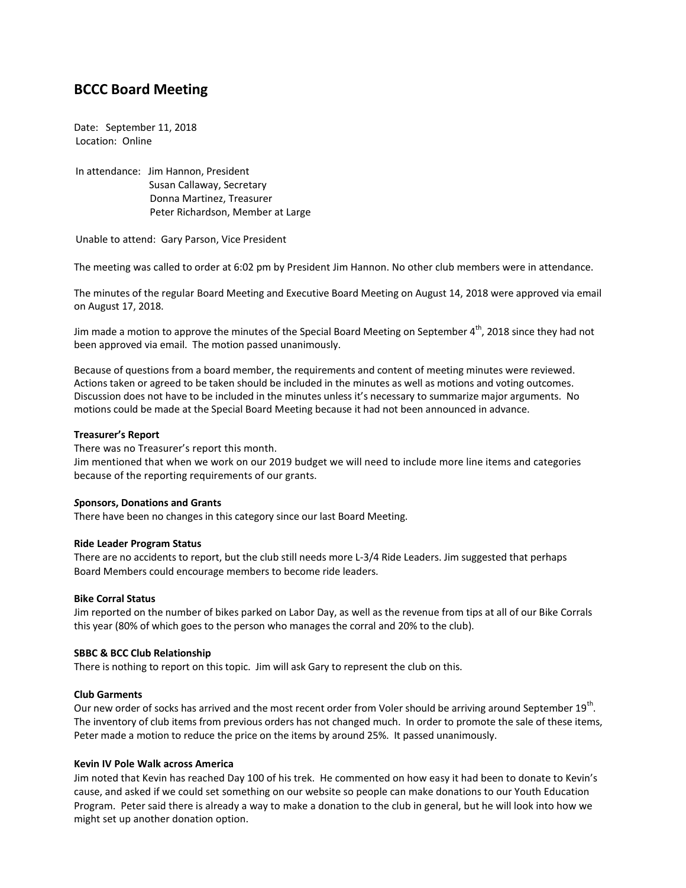# **BCCC Board Meeting**

Date: September 11, 2018 Location: Online

In attendance: Jim Hannon, President Susan Callaway, Secretary Donna Martinez, Treasurer Peter Richardson, Member at Large

Unable to attend: Gary Parson, Vice President

The meeting was called to order at 6:02 pm by President Jim Hannon. No other club members were in attendance.

The minutes of the regular Board Meeting and Executive Board Meeting on August 14, 2018 were approved via email on August 17, 2018.

Jim made a motion to approve the minutes of the Special Board Meeting on September  $4^{th}$ , 2018 since they had not been approved via email. The motion passed unanimously.

Because of questions from a board member, the requirements and content of meeting minutes were reviewed. Actions taken or agreed to be taken should be included in the minutes as well as motions and voting outcomes. Discussion does not have to be included in the minutes unless it's necessary to summarize major arguments. No motions could be made at the Special Board Meeting because it had not been announced in advance.

#### **Treasurer's Report**

There was no Treasurer's report this month.

Jim mentioned that when we work on our 2019 budget we will need to include more line items and categories because of the reporting requirements of our grants.

#### *S***ponsors, Donations and Grants**

There have been no changes in this category since our last Board Meeting.

#### **Ride Leader Program Status**

There are no accidents to report, but the club still needs more L-3/4 Ride Leaders. Jim suggested that perhaps Board Members could encourage members to become ride leaders.

# **Bike Corral Status**

Jim reported on the number of bikes parked on Labor Day, as well as the revenue from tips at all of our Bike Corrals this year (80% of which goes to the person who manages the corral and 20% to the club).

# **SBBC & BCC Club Relationship**

There is nothing to report on this topic. Jim will ask Gary to represent the club on this.

#### **Club Garments**

Our new order of socks has arrived and the most recent order from Voler should be arriving around September 19 $^{\text{th}}$ . The inventory of club items from previous orders has not changed much. In order to promote the sale of these items, Peter made a motion to reduce the price on the items by around 25%. It passed unanimously.

# **Kevin IV Pole Walk across America**

Jim noted that Kevin has reached Day 100 of his trek. He commented on how easy it had been to donate to Kevin's cause, and asked if we could set something on our website so people can make donations to our Youth Education Program. Peter said there is already a way to make a donation to the club in general, but he will look into how we might set up another donation option.